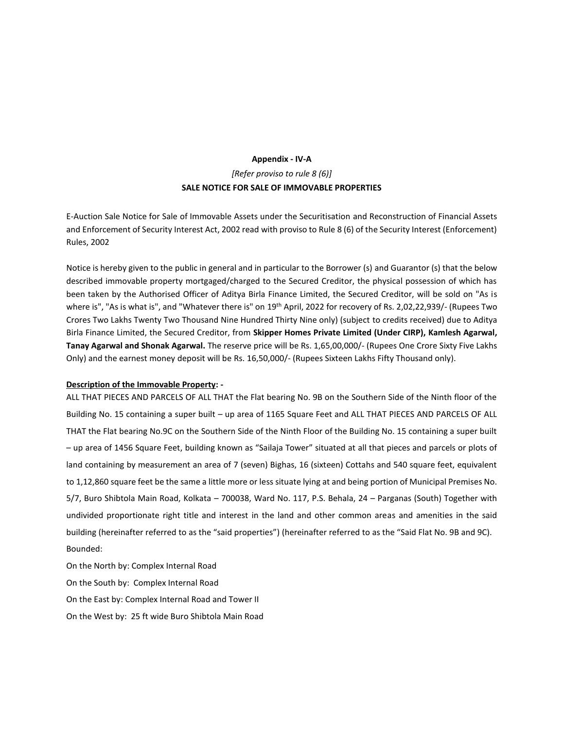## **Appendix - IV-A** *[Refer proviso to rule 8 (6)]* **SALE NOTICE FOR SALE OF IMMOVABLE PROPERTIES**

E-Auction Sale Notice for Sale of Immovable Assets under the Securitisation and Reconstruction of Financial Assets and Enforcement of Security Interest Act, 2002 read with proviso to Rule 8 (6) of the Security Interest (Enforcement) Rules, 2002

Notice is hereby given to the public in general and in particular to the Borrower (s) and Guarantor (s) that the below described immovable property mortgaged/charged to the Secured Creditor, the physical possession of which has been taken by the Authorised Officer of Aditya Birla Finance Limited, the Secured Creditor, will be sold on "As is where is", "As is what is", and "Whatever there is" on 19<sup>th</sup> April, 2022 for recovery of Rs. 2,02,22,939/- (Rupees Two Crores Two Lakhs Twenty Two Thousand Nine Hundred Thirty Nine only) (subject to credits received) due to Aditya Birla Finance Limited, the Secured Creditor, from **Skipper Homes Private Limited (Under CIRP), Kamlesh Agarwal, Tanay Agarwal and Shonak Agarwal.** The reserve price will be Rs. 1,65,00,000/- (Rupees One Crore Sixty Five Lakhs Only) and the earnest money deposit will be Rs. 16,50,000/- (Rupees Sixteen Lakhs Fifty Thousand only).

## **Description of the Immovable Property: -**

ALL THAT PIECES AND PARCELS OF ALL THAT the Flat bearing No. 9B on the Southern Side of the Ninth floor of the Building No. 15 containing a super built – up area of 1165 Square Feet and ALL THAT PIECES AND PARCELS OF ALL THAT the Flat bearing No.9C on the Southern Side of the Ninth Floor of the Building No. 15 containing a super built – up area of 1456 Square Feet, building known as "Sailaja Tower" situated at all that pieces and parcels or plots of land containing by measurement an area of 7 (seven) Bighas, 16 (sixteen) Cottahs and 540 square feet, equivalent to 1,12,860 square feet be the same a little more or less situate lying at and being portion of Municipal Premises No. 5/7, Buro Shibtola Main Road, Kolkata – 700038, Ward No. 117, P.S. Behala, 24 – Parganas (South) Together with undivided proportionate right title and interest in the land and other common areas and amenities in the said building (hereinafter referred to as the "said properties") (hereinafter referred to as the "Said Flat No. 9B and 9C). Bounded:

On the North by: Complex Internal Road On the South by: Complex Internal Road On the East by: Complex Internal Road and Tower II On the West by: 25 ft wide Buro Shibtola Main Road